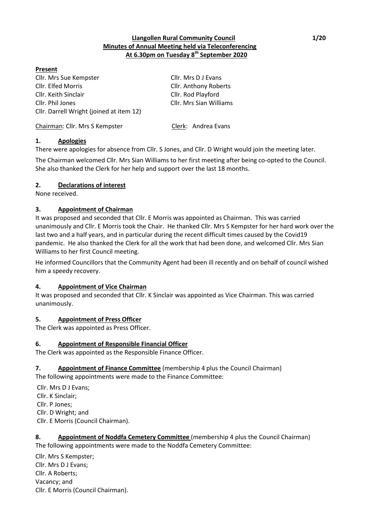### **Llangollen Rural Community Council 1/20 Minutes of Annual Meeting held via Teleconferencing At 6.30pm on Tuesday 8 th September 2020**

### **Present**

Cllr. Mrs Sue Kempster Cllr. Mrs D J Evans Cllr. Elfed Morris Cllr. Anthony Roberts Cllr. Keith Sinclair Cllr. Rod Playford Cllr. Phil Jones Cllr. Mrs Sian Williams Cllr. Darrell Wright (joined at item 12)

Chairman: Cllr. Mrs S Kempster Clerk: Andrea Evans

# **1. Apologies**

There were apologies for absence from Cllr. S Jones, and Cllr. D Wright would join the meeting later.

The Chairman welcomed Cllr. Mrs Sian Williams to her first meeting after being co-opted to the Council. She also thanked the Clerk for her help and support over the last 18 months.

# **2. Declarations of interest**

None received.

# **3. Appointment of Chairman**

It was proposed and seconded that Cllr. E Morris was appointed as Chairman. This was carried unanimously and Cllr. E Morris took the Chair. He thanked Cllr. Mrs S Kempster for her hard work over the last two and a half years, and in particular during the recent difficult times caused by the Covid19 pandemic. He also thanked the Clerk for all the work that had been done, and welcomed Cllr. Mrs Sian Williams to her first Council meeting.

He informed Councillors that the Community Agent had been ill recently and on behalf of council wished him a speedy recovery.

# **4. Appointment of Vice Chairman**

It was proposed and seconded that Cllr. K Sinclair was appointed as Vice Chairman. This was carried unanimously.

### **5. Appointment of Press Officer**

The Clerk was appointed as Press Officer.

# **6. Appointment of Responsible Financial Officer**

The Clerk was appointed as the Responsible Finance Officer.

# **7. Appointment of Finance Committee** (membership 4 plus the Council Chairman)

The following appointments were made to the Finance Committee:

Cllr. Mrs D J Evans; Cllr. K Sinclair; Cllr. P Jones; Cllr. D Wright; and Cllr. E Morris (Council Chairman).

### **8. Appointment of Noddfa Cemetery Committee** (membership 4 plus the Council Chairman) The following appointments were made to the Noddfa Cemetery Committee:

Cllr. Mrs S Kempster; Cllr. Mrs D J Evans; Cllr. A Roberts; Vacancy; and Cllr. E Morris (Council Chairman).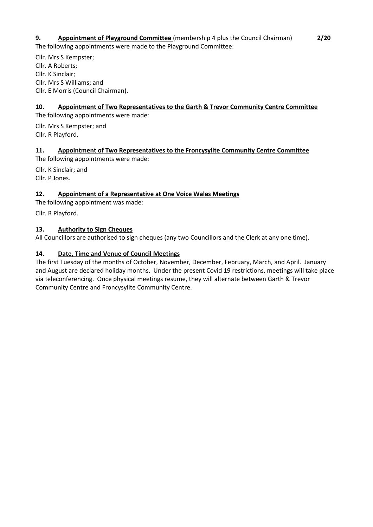## **9. Appointment of Playground Committee** (membership 4 plus the Council Chairman) **2/20** The following appointments were made to the Playground Committee:

Cllr. Mrs S Kempster; Cllr. A Roberts; Cllr. K Sinclair; Cllr. Mrs S Williams; and Cllr. E Morris (Council Chairman).

# **10. Appointment of Two Representatives to the Garth & Trevor Community Centre Committee**

The following appointments were made:

Cllr. Mrs S Kempster; and Cllr. R Playford.

## **11. Appointment of Two Representatives to the Froncysyllte Community Centre Committee**

The following appointments were made:

Cllr. K Sinclair; and Cllr. P Jones.

## **12. Appointment of a Representative at One Voice Wales Meetings**

The following appointment was made:

Cllr. R Playford.

### **13. Authority to Sign Cheques**

All Councillors are authorised to sign cheques (any two Councillors and the Clerk at any one time).

### **14. Date, Time and Venue of Council Meetings**

The first Tuesday of the months of October, November, December, February, March, and April. January and August are declared holiday months. Under the present Covid 19 restrictions, meetings will take place via teleconferencing. Once physical meetings resume, they will alternate between Garth & Trevor Community Centre and Froncysyllte Community Centre.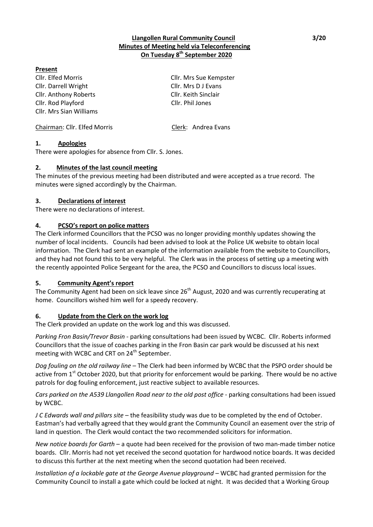### **Present**

Cllr. Elfed Morris Cllr. Mrs Sue Kempster Cllr. Darrell Wright Cllr. Mrs D J Evans Cllr. Anthony Roberts Cllr. Keith Sinclair Cllr. Rod Playford Cllr. Phil Jones Cllr. Mrs Sian Williams

Chairman: Cllr. Elfed Morris Clerk: Andrea Evans

### **1. Apologies**

There were apologies for absence from Cllr. S. Jones.

### **2. Minutes of the last council meeting**

The minutes of the previous meeting had been distributed and were accepted as a true record. The minutes were signed accordingly by the Chairman.

### **3. Declarations of interest**

There were no declarations of interest.

### **4. PCSO's report on police matters**

The Clerk informed Councillors that the PCSO was no longer providing monthly updates showing the number of local incidents. Councils had been advised to look at the Police UK website to obtain local information. The Clerk had sent an example of the information available from the website to Councillors, and they had not found this to be very helpful. The Clerk was in the process of setting up a meeting with the recently appointed Police Sergeant for the area, the PCSO and Councillors to discuss local issues.

#### **5. Community Agent's report**

The Community Agent had been on sick leave since 26<sup>th</sup> August, 2020 and was currently recuperating at home. Councillors wished him well for a speedy recovery.

### **6. Update from the Clerk on the work log**

The Clerk provided an update on the work log and this was discussed.

*Parking Fron Basin/Trevor Basin* - parking consultations had been issued by WCBC. Cllr. Roberts informed Councillors that the issue of coaches parking in the Fron Basin car park would be discussed at his next meeting with WCBC and CRT on 24<sup>th</sup> September.

*Dog fouling on the old railway line* – The Clerk had been informed by WCBC that the PSPO order should be active from  $1<sup>st</sup>$  October 2020, but that priority for enforcement would be parking. There would be no active patrols for dog fouling enforcement, just reactive subject to available resources.

*Cars parked on the A539 Llangollen Road near to the old post office* - parking consultations had been issued by WCBC.

*J C Edwards wall and pillars site* – the feasibility study was due to be completed by the end of October. Eastman's had verbally agreed that they would grant the Community Council an easement over the strip of land in question. The Clerk would contact the two recommended solicitors for information.

*New notice boards for Garth* – a quote had been received for the provision of two man-made timber notice boards. Cllr. Morris had not yet received the second quotation for hardwood notice boards. It was decided to discuss this further at the next meeting when the second quotation had been received.

*Installation of a lockable gate at the George Avenue playground* – WCBC had granted permission for the Community Council to install a gate which could be locked at night. It was decided that a Working Group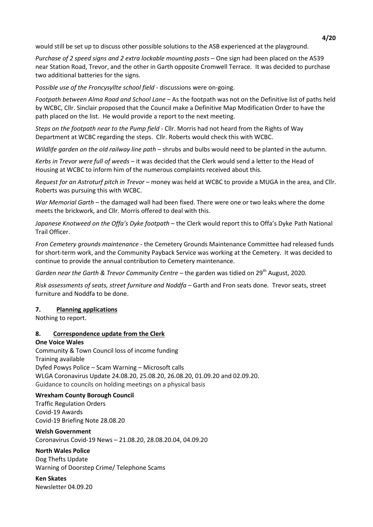would still be set up to discuss other possible solutions to the ASB experienced at the playground.

*Purchase of 2 speed signs and 2 extra lockable mounting posts* – One sign had been placed on the A539 near Station Road, Trevor, and the other in Garth opposite Cromwell Terrace. It was decided to purchase two additional batteries for the signs.

P*ossible use of the Froncysyllte school field* - discussions were on-going.

*Footpath between Alma Road and School Lane* – As the footpath was not on the Definitive list of paths held by WCBC, Cllr. Sinclair proposed that the Council make a Definitive Map Modification Order to have the path placed on the list. He would provide a report to the next meeting.

*Steps on the footpath near to the Pump field* - Cllr. Morris had not heard from the Rights of Way Department at WCBC regarding the steps. Cllr. Roberts would check this with WCBC.

*Wildlife garden on the old railway line path* – shrubs and bulbs would need to be planted in the autumn.

*Kerbs in Trevor were full of weeds* – it was decided that the Clerk would send a letter to the Head of Housing at WCBC to inform him of the numerous complaints received about this.

*Request for an Astroturf pitch in Trevor* – money was held at WCBC to provide a MUGA in the area, and Cllr. Roberts was pursuing this with WCBC.

*War Memorial Garth* – the damaged wall had been fixed. There were one or two leaks where the dome meets the brickwork, and Cllr. Morris offered to deal with this.

*Japanese Knotweed on the Offa's Dyke footpath* – the Clerk would report this to Offa's Dyke Path National Trail Officer.

*Fron Cemetery grounds maintenance* - the Cemetery Grounds Maintenance Committee had released funds for short-term work, and the Community Payback Service was working at the Cemetery. It was decided to continue to provide the annual contribution to Cemetery maintenance.

*Garden near the Garth & Trevor Community Centre - the garden was tidied on 29<sup>th</sup> August, 2020.* 

*Risk assessments of seats, street furniture and Noddfa –* Garth and Fron seats done*.* Trevor seats, street furniture and Noddfa to be done.

### **7. Planning applications**

Nothing to report.

### **8. Correspondence update from the Clerk**

#### **One Voice Wales**

Community & Town Council loss of income funding Training available Dyfed Powys Police – Scam Warning – Microsoft calls WLGA Coronavirus Update 24.08.20, 25.08.20, 26.08.20, 01.09.20 and 02.09.20. Guidance to councils on holding meetings on a physical basis

#### **Wrexham County Borough Council**

Traffic Regulation Orders Covid-19 Awards Covid-19 Briefing Note 28.08.20

**Welsh Government** Coronavirus Covid-19 News – 21.08.20, 28.08.20.04, 04.09.20

# **North Wales Police**

Dog Thefts Update Warning of Doorstep Crime/ Telephone Scams

**Ken Skates** Newsletter 04.09.20